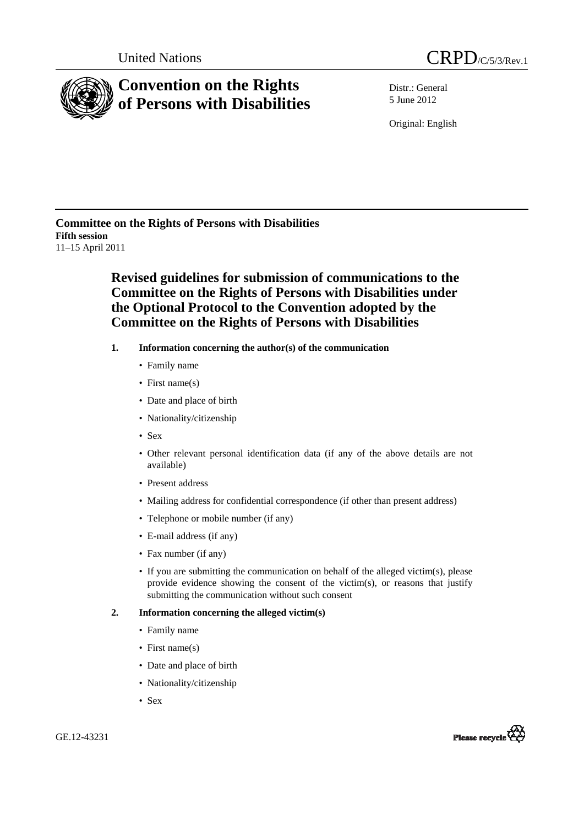



# **Convention on the Rights of Persons with Disabilities**

Distr.: General 5 June 2012

Original: English

**Committee on the Rights of Persons with Disabilities Fifth session**  11–15 April 2011

# **Revised guidelines for submission of communications to the Committee on the Rights of Persons with Disabilities under the Optional Protocol to the Convention adopted by the Committee on the Rights of Persons with Disabilities**

- **1. Information concerning the author(s) of the communication** 
	- Family name
	- First name(s)
	- Date and place of birth
	- Nationality/citizenship
	- Sex
	- Other relevant personal identification data (if any of the above details are not available)
	- Present address
	- Mailing address for confidential correspondence (if other than present address)
	- Telephone or mobile number (if any)
	- E-mail address (if any)
	- Fax number (if any)
	- If you are submitting the communication on behalf of the alleged victim(s), please provide evidence showing the consent of the victim(s), or reasons that justify submitting the communication without such consent

# **2. Information concerning the alleged victim(s)**

- Family name
- First name(s)
- Date and place of birth
- Nationality/citizenship
- Sex

GE.12-43231

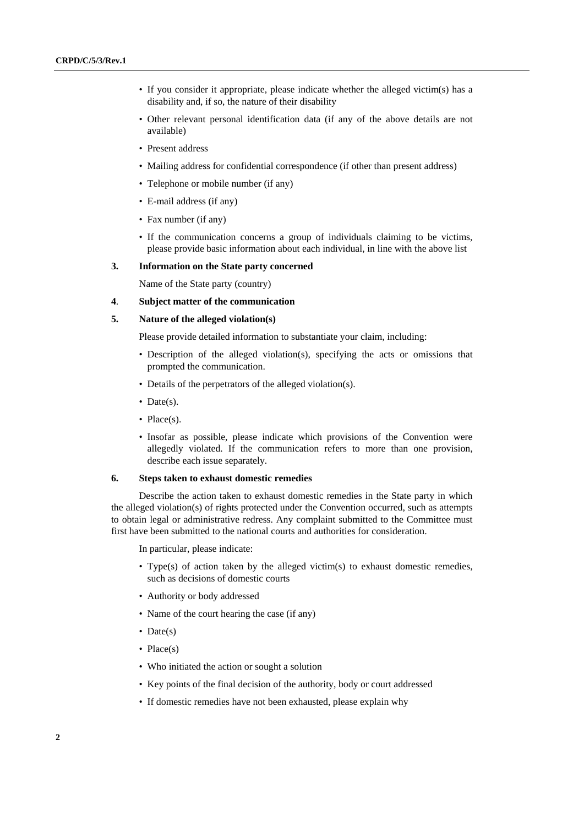- If you consider it appropriate, please indicate whether the alleged victim(s) has a disability and, if so, the nature of their disability
- Other relevant personal identification data (if any of the above details are not available)
- Present address
- Mailing address for confidential correspondence (if other than present address)
- Telephone or mobile number (if any)
- E-mail address (if any)
- Fax number (if any)
- If the communication concerns a group of individuals claiming to be victims, please provide basic information about each individual, in line with the above list

#### **3. Information on the State party concerned**

Name of the State party (country)

# **4**. **Subject matter of the communication**

#### **5. Nature of the alleged violation(s)**

Please provide detailed information to substantiate your claim, including:

- Description of the alleged violation(s), specifying the acts or omissions that prompted the communication.
- Details of the perpetrators of the alleged violation(s).
- Date(s).
- Place(s).
- Insofar as possible, please indicate which provisions of the Convention were allegedly violated. If the communication refers to more than one provision, describe each issue separately.

#### **6. Steps taken to exhaust domestic remedies**

Describe the action taken to exhaust domestic remedies in the State party in which the alleged violation(s) of rights protected under the Convention occurred, such as attempts to obtain legal or administrative redress. Any complaint submitted to the Committee must first have been submitted to the national courts and authorities for consideration.

In particular, please indicate:

- Type(s) of action taken by the alleged victim(s) to exhaust domestic remedies, such as decisions of domestic courts
- Authority or body addressed
- Name of the court hearing the case (if any)
- Date(s)
- Place(s)
- Who initiated the action or sought a solution
- Key points of the final decision of the authority, body or court addressed
- If domestic remedies have not been exhausted, please explain why